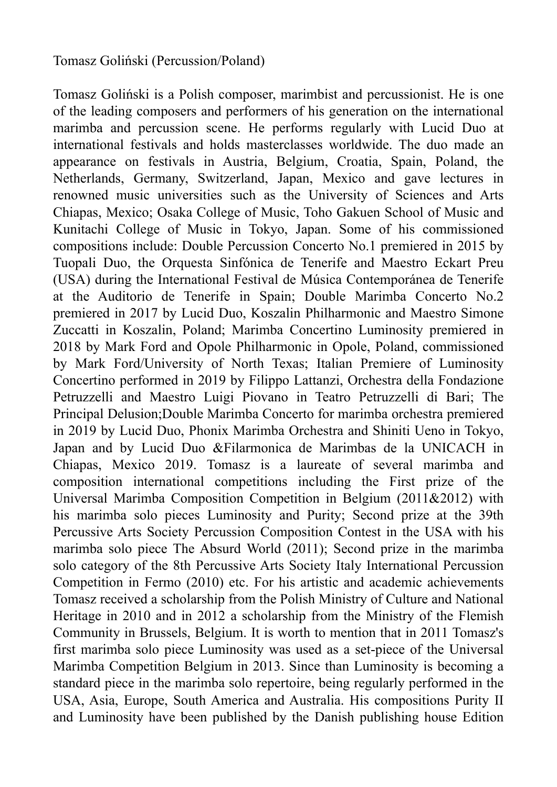## Tomasz Goliński (Percussion/Poland)

Tomasz Goliński is a Polish composer, marimbist and percussionist. He is one of the leading composers and performers of his generation on the international marimba and percussion scene. He performs regularly with Lucid Duo at international festivals and holds masterclasses worldwide. The duo made an appearance on festivals in Austria, Belgium, Croatia, Spain, Poland, the Netherlands, Germany, Switzerland, Japan, Mexico and gave lectures in renowned music universities such as the University of Sciences and Arts Chiapas, Mexico; Osaka College of Music, Toho Gakuen School of Music and Kunitachi College of Music in Tokyo, Japan. Some of his commissioned compositions include: Double Percussion Concerto No.1 premiered in 2015 by Tuopali Duo, the Orquesta Sinfónica de Tenerife and Maestro Eckart Preu (USA) during the International Festival de Música Contemporánea de Tenerife at the Auditorio de Tenerife in Spain; Double Marimba Concerto No.2 premiered in 2017 by Lucid Duo, Koszalin Philharmonic and Maestro Simone Zuccatti in Koszalin, Poland; Marimba Concertino Luminosity premiered in 2018 by Mark Ford and Opole Philharmonic in Opole, Poland, commissioned by Mark Ford/University of North Texas; Italian Premiere of Luminosity Concertino performed in 2019 by Filippo Lattanzi, Orchestra della Fondazione Petruzzelli and Maestro Luigi Piovano in Teatro Petruzzelli di Bari; The Principal Delusion;Double Marimba Concerto for marimba orchestra premiered in 2019 by Lucid Duo, Phonix Marimba Orchestra and Shiniti Ueno in Tokyo, Japan and by Lucid Duo &Filarmonica de Marimbas de la UNICACH in Chiapas, Mexico 2019. Tomasz is a laureate of several marimba and composition international competitions including the First prize of the Universal Marimba Composition Competition in Belgium (2011&2012) with his marimba solo pieces Luminosity and Purity; Second prize at the 39th Percussive Arts Society Percussion Composition Contest in the USA with his marimba solo piece The Absurd World (2011); Second prize in the marimba solo category of the 8th Percussive Arts Society Italy International Percussion Competition in Fermo (2010) etc. For his artistic and academic achievements Tomasz received a scholarship from the Polish Ministry of Culture and National Heritage in 2010 and in 2012 a scholarship from the Ministry of the Flemish Community in Brussels, Belgium. It is worth to mention that in 2011 Tomasz's first marimba solo piece Luminosity was used as a set-piece of the Universal Marimba Competition Belgium in 2013. Since than Luminosity is becoming a standard piece in the marimba solo repertoire, being regularly performed in the USA, Asia, Europe, South America and Australia. His compositions Purity II and Luminosity have been published by the Danish publishing house Edition